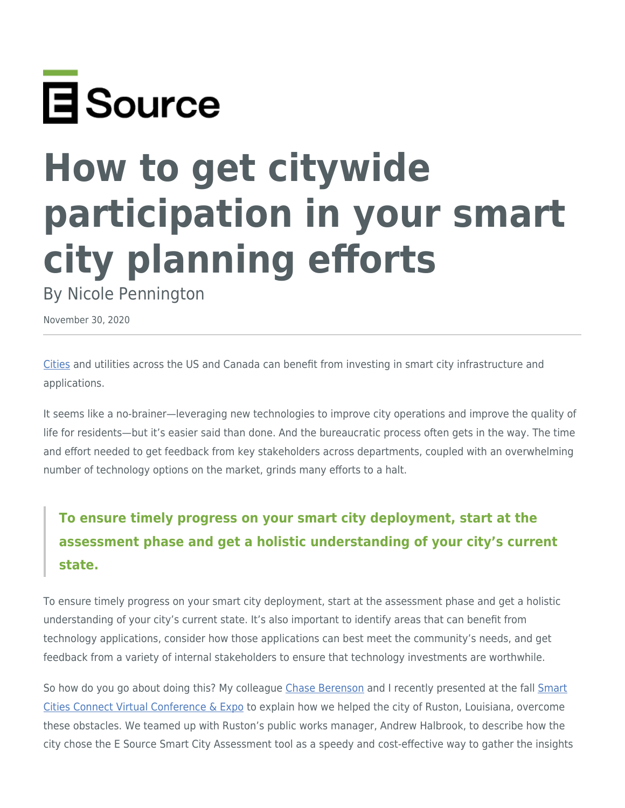

## **How to get citywide participation in your smart city planning efforts**

By Nicole Pennington

November 30, 2020

[Cities](https://www.esource.com/cities) and utilities across the US and Canada can benefit from investing in smart city infrastructure and applications.

It seems like a no-brainer—leveraging new technologies to improve city operations and improve the quality of life for residents—but it's easier said than done. And the bureaucratic process often gets in the way. The time and effort needed to get feedback from key stakeholders across departments, coupled with an overwhelming number of technology options on the market, grinds many efforts to a halt.

## **To ensure timely progress on your smart city deployment, start at the assessment phase and get a holistic understanding of your city's current state.**

To ensure timely progress on your smart city deployment, start at the assessment phase and get a holistic understanding of your city's current state. It's also important to identify areas that can benefit from technology applications, consider how those applications can best meet the community's needs, and get feedback from a variety of internal stakeholders to ensure that technology investments are worthwhile.

So how do you go about doing this? My colleague [Chase Berenson](https://www.esource.com/chase-berenson) and I recently presented at the fall [Smart](https://fall.smartcitiesconnect.org/) [Cities Connect Virtual Conference & Expo](https://fall.smartcitiesconnect.org/) to explain how we helped the city of Ruston, Louisiana, overcome these obstacles. We teamed up with Ruston's public works manager, Andrew Halbrook, to describe how the city chose the E Source Smart City Assessment tool as a speedy and cost-effective way to gather the insights